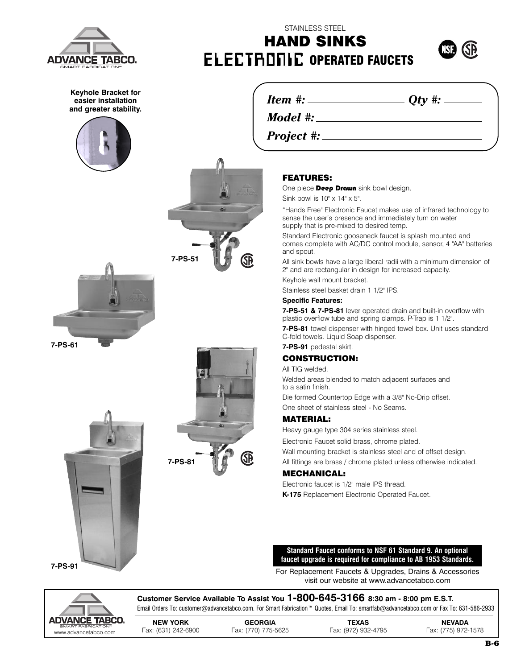

**Keyhole Bracket for easier installation and greater stability.**





*Project #:*

### **FEATURES:**

STAINLESS STEEL **HAND SINKS**

One piece Deep Drawn sink bowl design.

Sink bowl is 10" x 14" x 5".

"Hands Free" Electronic Faucet makes use of infrared technology to sense the user's presence and immediately turn on water supply that is pre-mixed to desired temp.

Standard Electronic gooseneck faucet is splash mounted and comes complete with AC/DC control module, sensor, 4 "AA" batteries and spout.

All sink bowls have a large liberal radii with a minimum dimension of 2" and are rectangular in design for increased capacity.

Keyhole wall mount bracket. Stainless steel basket drain 1 1/2" IPS.

## **Specific Features:**

**7-PS-51 & 7-PS-81** lever operated drain and built-in overflow with plastic overflow tube and spring clamps. P-Trap is 1 1/2".

**7-PS-81** towel dispenser with hinged towel box. Unit uses standard C-fold towels. Liquid Soap dispenser.

**7-PS-91** pedestal skirt.

#### **CONSTRUCTION:**

All TIG welded.

Welded areas blended to match adjacent surfaces and to a satin finish.

Die formed Countertop Edge with a 3/8" No-Drip offset. One sheet of stainless steel - No Seams.

#### **MATERIAL:**

Heavy gauge type 304 series stainless steel.

Electronic Faucet solid brass, chrome plated.

Wall mounting bracket is stainless steel and of offset design. All fittings are brass / chrome plated unless otherwise indicated.

#### **MECHANICAL:**

Electronic faucet is 1/2" male IPS thread. **K-175** Replacement Electronic Operated Faucet.

**Standard Faucet conforms to NSF 61 Standard 9. An optional faucet upgrade is required for compliance to AB 1953 Standards.**

For Replacement Faucets & Upgrades, Drains & Accessories visit our website at www.advancetabco.com



**Customer Service Available To Assist You 1-800-645-3166 8:30 am - 8:00 pm E.S.T.** Email Orders To: customer@advancetabco.com. For Smart Fabrication™ Quotes, Email To: smartfab@advancetabco.com or Fax To: 631-586-2933

**NEW YORK GEORGIA TEXAS NEVADA** www.advancetabco.com Fax: (631) 242-6900 Fax: (770) 775-5625 Fax: (972) 932-4795 Fax: (775) 972-1578



**7-PS-61**



**7-PS-51**